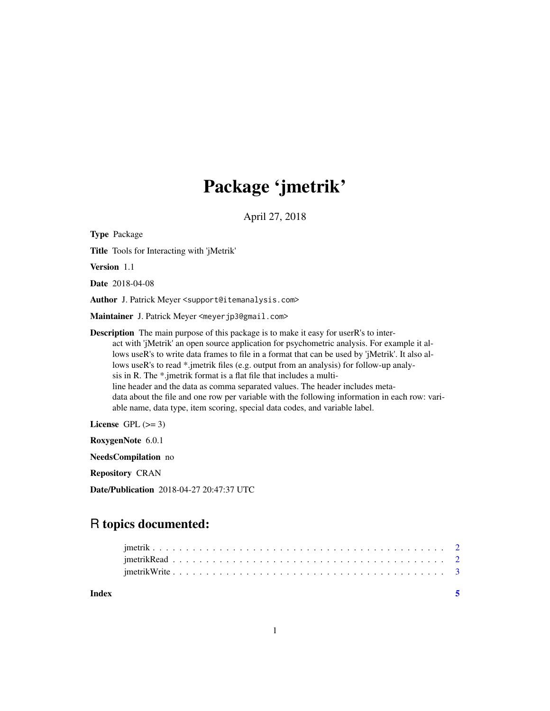## Package 'jmetrik'

April 27, 2018

Type Package Title Tools for Interacting with 'jMetrik' Version 1.1 Date 2018-04-08 Author J. Patrick Meyer <support@itemanalysis.com> Maintainer J. Patrick Meyer <meyerjp3@gmail.com> Description The main purpose of this package is to make it easy for userR's to interact with 'jMetrik' an open source application for psychometric analysis. For example it allows useR's to write data frames to file in a format that can be used by 'jMetrik'. It also allows useR's to read \*.jmetrik files (e.g. output from an analysis) for follow-up analysis in R. The \*.jmetrik format is a flat file that includes a multiline header and the data as comma separated values. The header includes metadata about the file and one row per variable with the following information in each row: variable name, data type, item scoring, special data codes, and variable label. License GPL  $(>= 3)$ 

RoxygenNote 6.0.1

NeedsCompilation no

Repository CRAN

Date/Publication 2018-04-27 20:47:37 UTC

### R topics documented:

| Index |  |  |  |  |  |  |  |  |  |  |  |  |  |  |  |  |  |
|-------|--|--|--|--|--|--|--|--|--|--|--|--|--|--|--|--|--|
|       |  |  |  |  |  |  |  |  |  |  |  |  |  |  |  |  |  |
|       |  |  |  |  |  |  |  |  |  |  |  |  |  |  |  |  |  |
|       |  |  |  |  |  |  |  |  |  |  |  |  |  |  |  |  |  |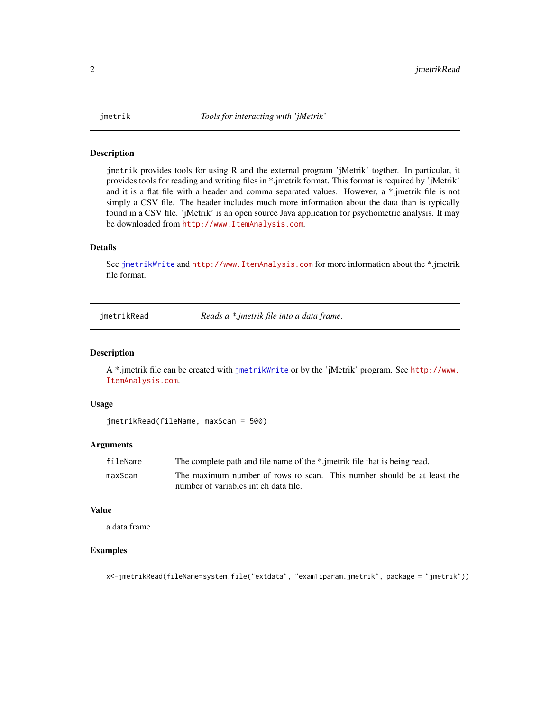<span id="page-1-0"></span>

#### Description

jmetrik provides tools for using R and the external program 'jMetrik' togther. In particular, it provides tools for reading and writing files in \*.jmetrik format. This format is required by 'jMetrik' and it is a flat file with a header and comma separated values. However, a \*.jmetrik file is not simply a CSV file. The header includes much more information about the data than is typically found in a CSV file. 'jMetrik' is an open source Java application for psychometric analysis. It may be downloaded from <http://www.ItemAnalysis.com>.

#### Details

See [jmetrikWrite](#page-2-1) and <http://www.ItemAnalysis.com> for more information about the \*.jmetrik file format.

jmetrikRead *Reads a \*.jmetrik file into a data frame.*

#### Description

A \*.jmetrik file can be created with [jmetrikWrite](#page-2-1) or by the 'jMetrik' program. See [http://www.](http://www.ItemAnalysis.com) [ItemAnalysis.com](http://www.ItemAnalysis.com).

#### Usage

```
jmetrikRead(fileName, maxScan = 500)
```
#### Arguments

| fileName | The complete path and file name of the *.jmetrik file that is being read. |
|----------|---------------------------------------------------------------------------|
| maxScan  | The maximum number of rows to scan. This number should be at least the    |
|          | number of variables int eh data file.                                     |

#### Value

a data frame

#### Examples

x<-jmetrikRead(fileName=system.file("extdata", "exam1iparam.jmetrik", package = "jmetrik"))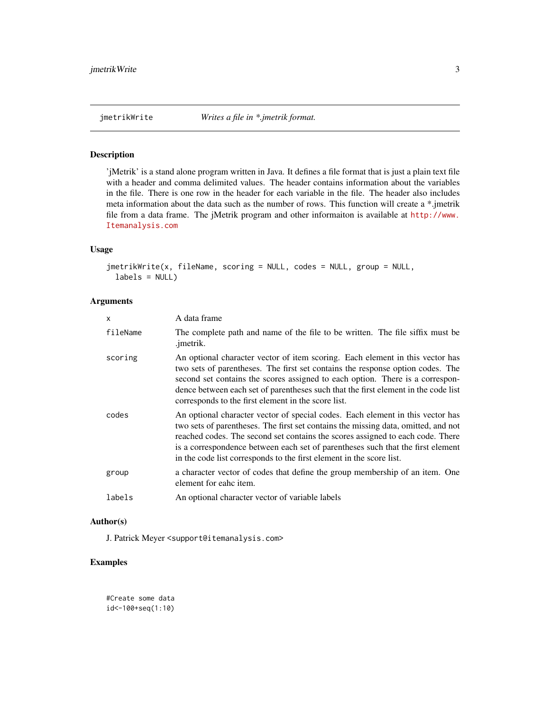#### Description

'jMetrik' is a stand alone program written in Java. It defines a file format that is just a plain text file with a header and comma delimited values. The header contains information about the variables in the file. There is one row in the header for each variable in the file. The header also includes meta information about the data such as the number of rows. This function will create a \*.jmetrik file from a data frame. The jMetrik program and other informaiton is available at [http://www.](http://www.Itemanalysis.com) [Itemanalysis.com](http://www.Itemanalysis.com)

#### Usage

```
jmetrikWrite(x, fileName, scoring = NULL, codes = NULL, group = NULL,
 labels = NULL)
```
#### Arguments

| X        | A data frame                                                                                                                                                                                                                                                                                                                                                                                                      |
|----------|-------------------------------------------------------------------------------------------------------------------------------------------------------------------------------------------------------------------------------------------------------------------------------------------------------------------------------------------------------------------------------------------------------------------|
| fileName | The complete path and name of the file to be written. The file siffix must be<br>.jmetrik.                                                                                                                                                                                                                                                                                                                        |
| scoring  | An optional character vector of item scoring. Each element in this vector has<br>two sets of parentheses. The first set contains the response option codes. The<br>second set contains the scores assigned to each option. There is a correspon-<br>dence between each set of parentheses such that the first element in the code list<br>corresponds to the first element in the score list.                     |
| codes    | An optional character vector of special codes. Each element in this vector has<br>two sets of parentheses. The first set contains the missing data, omitted, and not<br>reached codes. The second set contains the scores assigned to each code. There<br>is a correspondence between each set of parentheses such that the first element<br>in the code list corresponds to the first element in the score list. |
| group    | a character vector of codes that define the group membership of an item. One<br>element for eahc item.                                                                                                                                                                                                                                                                                                            |
| labels   | An optional character vector of variable labels                                                                                                                                                                                                                                                                                                                                                                   |

#### Author(s)

J. Patrick Meyer <support@itemanalysis.com>

#### Examples

#Create some data id<-100+seq(1:10)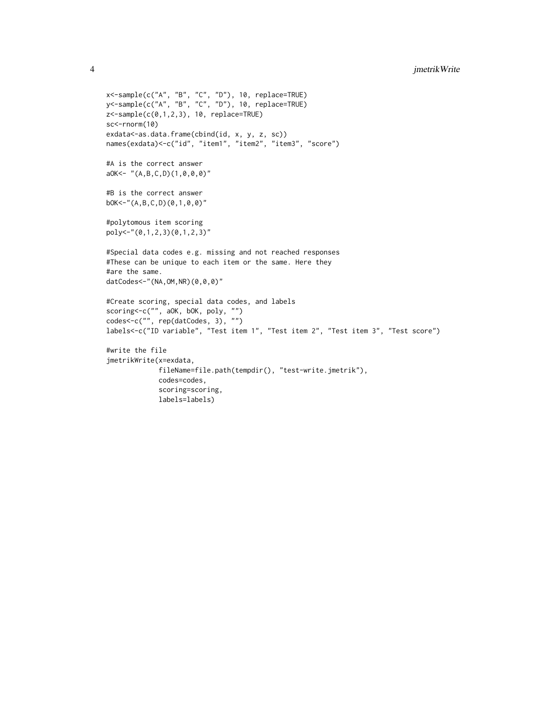```
x<-sample(c("A", "B", "C", "D"), 10, replace=TRUE)
y<-sample(c("A", "B", "C", "D"), 10, replace=TRUE)
z<-sample(c(0,1,2,3), 10, replace=TRUE)
sc<-rnorm(10)
exdata<-as.data.frame(cbind(id, x, y, z, sc))
names(exdata)<-c("id", "item1", "item2", "item3", "score")
#A is the correct answer
aOK<- "(A,B,C,D)(1,0,0,0)"
#B is the correct answer
bOK<-"(A,B,C,D)(0,1,0,0)"
#polytomous item scoring
poly<-"(0,1,2,3)(0,1,2,3)"
#Special data codes e.g. missing and not reached responses
#These can be unique to each item or the same. Here they
#are the same.
datCodes<-"(NA,OM,NR)(0,0,0)"
#Create scoring, special data codes, and labels
scoring<-c("", aOK, bOK, poly, "")
codes<-c("", rep(datCodes, 3), "")
labels<-c("ID variable", "Test item 1", "Test item 2", "Test item 3", "Test score")
#write the file
jmetrikWrite(x=exdata,
             fileName=file.path(tempdir(), "test-write.jmetrik"),
             codes=codes,
             scoring=scoring,
             labels=labels)
```